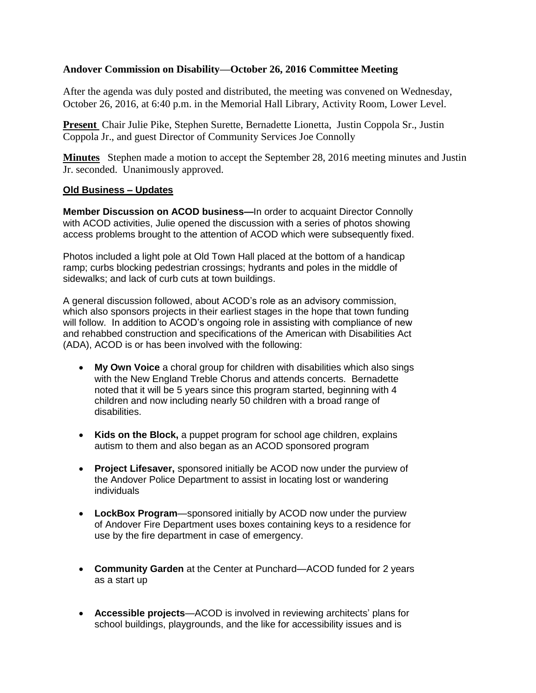## **Andover Commission on Disability—October 26, 2016 Committee Meeting**

After the agenda was duly posted and distributed, the meeting was convened on Wednesday, October 26, 2016, at 6:40 p.m. in the Memorial Hall Library, Activity Room, Lower Level.

**Present** Chair Julie Pike, Stephen Surette, Bernadette Lionetta, Justin Coppola Sr., Justin Coppola Jr., and guest Director of Community Services Joe Connolly

**Minutes** Stephen made a motion to accept the September 28, 2016 meeting minutes and Justin Jr. seconded. Unanimously approved.

## **Old Business – Updates**

**Member Discussion on ACOD business—**In order to acquaint Director Connolly with ACOD activities, Julie opened the discussion with a series of photos showing access problems brought to the attention of ACOD which were subsequently fixed.

Photos included a light pole at Old Town Hall placed at the bottom of a handicap ramp; curbs blocking pedestrian crossings; hydrants and poles in the middle of sidewalks; and lack of curb cuts at town buildings.

A general discussion followed, about ACOD's role as an advisory commission, which also sponsors projects in their earliest stages in the hope that town funding will follow. In addition to ACOD's ongoing role in assisting with compliance of new and rehabbed construction and specifications of the American with Disabilities Act (ADA), ACOD is or has been involved with the following:

- **My Own Voice** a choral group for children with disabilities which also sings with the New England Treble Chorus and attends concerts. Bernadette noted that it will be 5 years since this program started, beginning with 4 children and now including nearly 50 children with a broad range of disabilities.
- **Kids on the Block,** a puppet program for school age children, explains autism to them and also began as an ACOD sponsored program
- **Project Lifesaver,** sponsored initially be ACOD now under the purview of the Andover Police Department to assist in locating lost or wandering individuals
- **LockBox Program**—sponsored initially by ACOD now under the purview of Andover Fire Department uses boxes containing keys to a residence for use by the fire department in case of emergency.
- **Community Garden** at the Center at Punchard—ACOD funded for 2 years as a start up
- **Accessible projects**—ACOD is involved in reviewing architects' plans for school buildings, playgrounds, and the like for accessibility issues and is